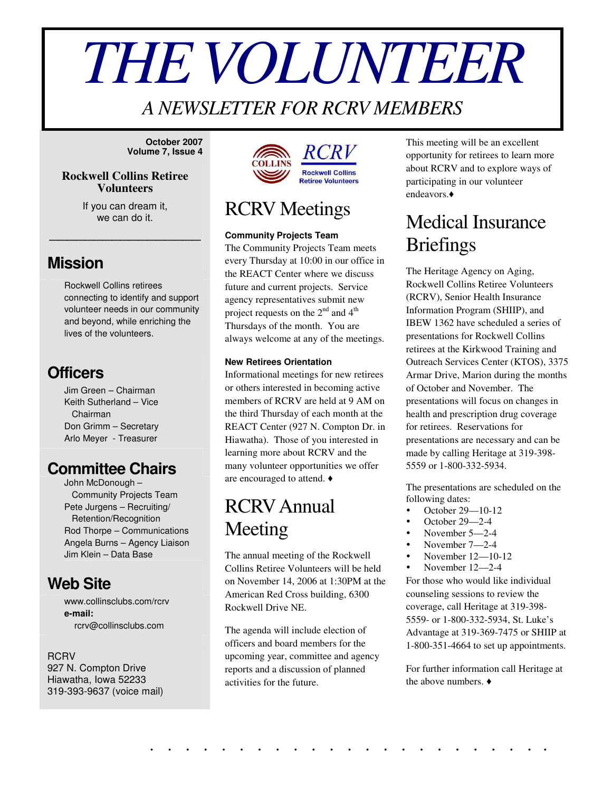# *THEVOLUNTEER*

### *A NEWSLETTER FOR RCRV MEMBERS*

**October 2007 Volume 7, Issue 4**

#### **Rockwell Collins Retiree Volunteers**

If you can dream it, we can do it.

\_\_\_\_\_\_\_\_\_\_\_\_\_\_\_\_\_

### **Mission**

Rockwell Collins retirees connecting to identify and support volunteer needs in our community and beyond, while enriching the lives of the volunteers.

### **Officers**

Jim Green – Chairman Keith Sutherland – Vice Chairman Don Grimm – Secretary Arlo Meyer - Treasurer

### **Committee Chairs**

John McDonough – Community Projects Team Pete Jurgens – Recruiting/ Retention/Recognition Rod Thorpe – Communications Angela Burns – Agency Liaison Jim Klein – Data Base

### **Web Site**

www.collinsclubs.com/rcrv **e-mail:** rcrv@collinsclubs.com

#### RCRV

927 N. Compton Drive Hiawatha, Iowa 52233 319-393-9637 (voice mail)



### RCRV Meetings

#### **Community Projects Team**

The Community Projects Team meets every Thursday at 10:00 in our office in the REACT Center where we discuss future and current projects. Service agency representatives submit new project requests on the  $2^{nd}$  and  $4^{th}$ Thursdays of the month. You are always welcome at any of the meetings.

#### **New Retirees Orientation**

Informational meetings for new retirees or others interested in becoming active members of RCRV are held at 9 AM on the third Thursday of each month at the REACT Center (927 N. Compton Dr. in Hiawatha). Those of you interested in learning more about RCRV and the many volunteer opportunities we offer are encouraged to attend.

### RCRVAnnual Meeting

The annual meeting of the Rockwell Collins Retiree Volunteers will be held on November 14, 2006 at 1:30PM at the American Red Cross building, 6300 Rockwell Drive NE.

The agenda will include election of officers and board members for the upcoming year, committee and agency reports and a discussion of planned activities for the future.

. . . . . . . . . . . . . . . . . . . . . . .

This meeting will be an excellent opportunity for retirees to learn more about RCRV and to explore ways of participating in our volunteer endeavors.

`

### Medical Insurance **Briefings**

The Heritage Agency on Aging, Rockwell Collins Retiree Volunteers (RCRV), Senior Health Insurance Information Program (SHIIP), and IBEW 1362 have scheduled a series of presentations for Rockwell Collins retirees at the Kirkwood Training and Outreach Services Center (KTOS), 3375 Armar Drive, Marion during the months of October and November. The presentations will focus on changes in health and prescription drug coverage for retirees. Reservations for presentations are necessary and can be made by calling Heritage at 319-398- 5559 or 1-800-332-5934.

The presentations are scheduled on the following dates:

- October 29—10-12
- October 29—2-4
- November 5—2-4
- November 7—2-4
- November 12—10-12
- November 12—2-4

For those who would like individual counseling sessions to review the coverage, call Heritage at 319-398- 5559- or 1-800-332-5934, St. Luke's Advantage at 319-369-7475 or SHIIP at 1-800-351-4664 to set up appointments.

For further information call Heritage at the above numbers.  $\triangleleft$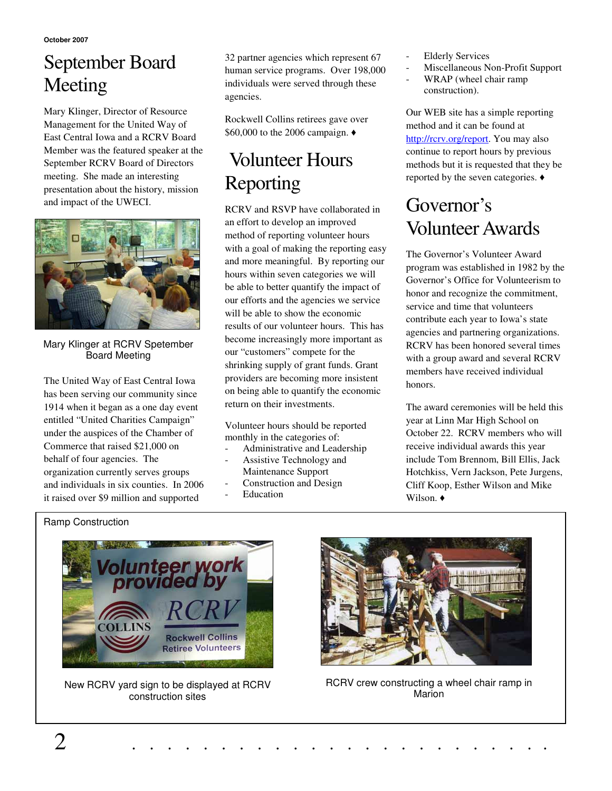**October 2007**

# September Board Meeting

Mary Klinger, Director of Resource Management for the United Way of East Central Iowa and a RCRV Board Member was the featured speaker at the September RCRV Board of Directors meeting. She made an interesting presentation about the history, mission and impact of the UWECI.



Mary Klinger at RCRV Spetember Board Meeting

The United Way of East Central Iowa has been serving our community since 1914 when it began as a one day event entitled "United Charities Campaign" under the auspices of the Chamber of Commerce that raised \$21,000 on behalf of four agencies. The organization currently serves groups and individuals in six counties. In 2006 it raised over \$9 million and supported

32 partner agencies which represent 67 human service programs. Over 198,000 individuals were served through these agencies.

Rockwell Collins retirees gave over \$60,000 to the 2006 campaign.

# Volunteer Hours Reporting

RCRV and RSVP have collaborated in an effort to develop an improved method of reporting volunteer hours with a goal of making the reporting easy and more meaningful. By reporting our hours within seven categories we will be able to better quantify the impact of our efforts and the agencies we service will be able to show the economic results of our volunteer hours. This has become increasingly more important as our "customers" compete for the shrinking supply of grant funds. Grant providers are becoming more insistent on being able to quantify the economic return on their investments.

Volunteer hours should be reported monthly in the categories of:

- Administrative and Leadership
- Assistive Technology and Maintenance Support
- Construction and Design
- **Education**
- **Elderly Services**
- Miscellaneous Non-Profit Support
- WRAP (wheel chair ramp construction).

Our WEB site has a simple reporting method and it can be found at http://rcrv.org/report. You may also continue to report hours by previous methods but it is requested that they be reported by the seven categories.

## Governor's Volunteer Awards

The Governor's Volunteer Award program was established in 1982 by the Governor's Office for Volunteerism to honor and recognize the commitment, service and time that volunteers contribute each year to Iowa's state agencies and partnering organizations. RCRV has been honored several times with a group award and several RCRV members have received individual honors.

The award ceremonies will be held this year at Linn Mar High School on October 22. RCRV members who will receive individual awards this year include Tom Brennom, Bill Ellis, Jack Hotchkiss, Vern Jackson, Pete Jurgens, Cliff Koop, Esther Wilson and Mike Wilson.  $\triangleleft$ 

### Ramp Construction



New RCRV yard sign to be displayed at RCRV construction sites



RCRV crew constructing a wheel chair ramp in Marion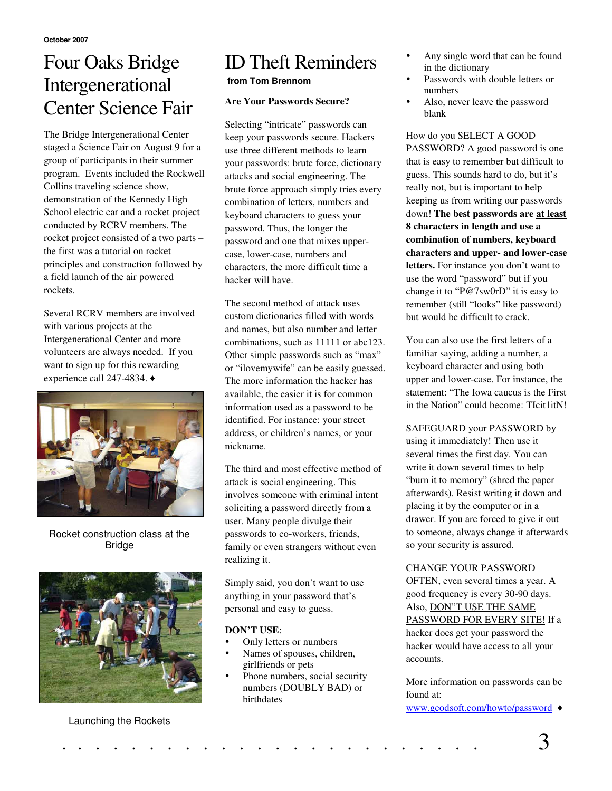### Four Oaks Bridge Intergenerational Center Science Fair

The Bridge Intergenerational Center staged a Science Fair on August 9 for a group of participants in their summer program. Events included the Rockwell Collins traveling science show, demonstration of the Kennedy High School electric car and a rocket project conducted by RCRV members. The rocket project consisted of a two parts – the first was a tutorial on rocket principles and construction followed by a field launch of the air powered rockets.

Several RCRV members are involved with various projects at the Intergenerational Center and more volunteers are always needed. If you want to sign up for this rewarding experience call 247-4834.



Rocket construction class at the Bridge



#### Launching the Rockets

### ID Theft Reminders

#### **from Tom Brennom**

#### **Are Your Passwords Secure?**

Selecting "intricate" passwords can keep your passwords secure. Hackers use three different methods to learn your passwords: brute force, dictionary attacks and social engineering. The brute force approach simply tries every combination of letters, numbers and keyboard characters to guess your password. Thus, the longer the password and one that mixes uppercase, lower-case, numbers and characters, the more difficult time a hacker will have.

The second method of attack uses custom dictionaries filled with words and names, but also number and letter combinations, such as 11111 or abc123. Other simple passwords such as "max" or "ilovemywife" can be easily guessed. The more information the hacker has available, the easier it is for common information used as a password to be identified. For instance: your street address, or children's names, or your nickname.

The third and most effective method of attack is social engineering. This involves someone with criminal intent soliciting a password directly from a user. Many people divulge their passwords to co-workers, friends, family or even strangers without even realizing it.

Simply said, you don't want to use anything in your password that's personal and easy to guess.

#### **DON'T USE**:

- Only letters or numbers
- Names of spouses, children, girlfriends or pets
- Phone numbers, social security numbers (DOUBLY BAD) or birthdates
- Any single word that can be found in the dictionary
- Passwords with double letters or numbers
- Also, never leave the password blank

How do you SELECT A GOOD PASSWORD? A good password is one that is easy to remember but difficult to guess. This sounds hard to do, but it's really not, but is important to help keeping us from writing our passwords down! **The best passwords are at least 8 characters in length and use a combination of numbers, keyboard characters and upper- and lower-case letters.** For instance you don't want to use the word "password" but if you change it to "P@7sw0rD" it is easy to remember (still "looks" like password) but would be difficult to crack.

You can also use the first letters of a familiar saying, adding a number, a keyboard character and using both upper and lower-case. For instance, the statement: "The Iowa caucus is the First in the Nation" could become: TIcit1itN!

SAFEGUARD your PASSWORD by using it immediately! Then use it several times the first day. You can write it down several times to help "burn it to memory" (shred the paper afterwards). Resist writing it down and placing it by the computer or in a drawer. If you are forced to give it out to someone, always change it afterwards so your security is assured.

#### CHANGE YOUR PASSWORD

OFTEN, even several times a year. A good frequency is every 30-90 days. Also, DON"T USE THE SAME PASSWORD FOR EVERY SITE! If a hacker does get your password the hacker would have access to all your accounts.

More information on passwords can be found at:

www.geodsoft.com/howto/password